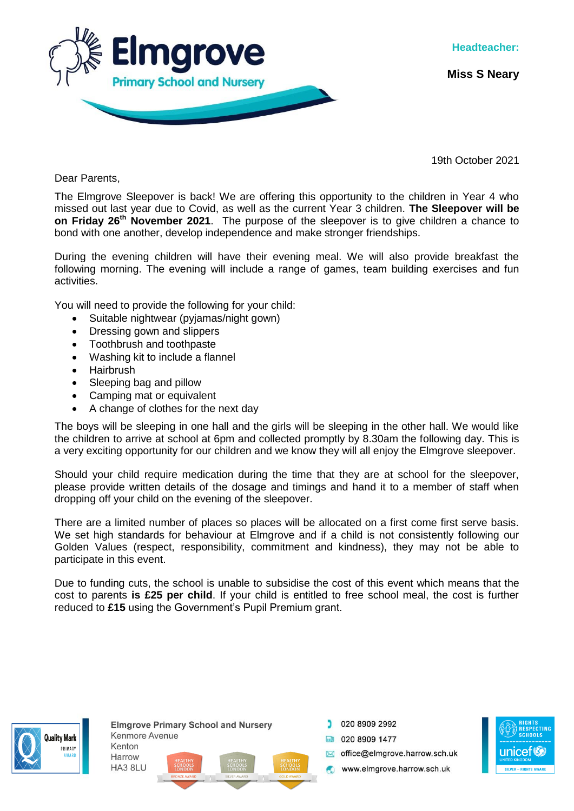

**Miss S Neary**

19th October 2021

Dear Parents,

The Elmgrove Sleepover is back! We are offering this opportunity to the children in Year 4 who missed out last year due to Covid, as well as the current Year 3 children. **The Sleepover will be on Friday 26th November 2021**. The purpose of the sleepover is to give children a chance to bond with one another, develop independence and make stronger friendships.

During the evening children will have their evening meal. We will also provide breakfast the following morning. The evening will include a range of games, team building exercises and fun activities.

You will need to provide the following for your child:

- Suitable nightwear (pyjamas/night gown)
- Dressing gown and slippers
- Toothbrush and toothpaste
- Washing kit to include a flannel
- Hairbrush
- Sleeping bag and pillow
- Camping mat or equivalent
- A change of clothes for the next day

The boys will be sleeping in one hall and the girls will be sleeping in the other hall. We would like the children to arrive at school at 6pm and collected promptly by 8.30am the following day. This is a very exciting opportunity for our children and we know they will all enjoy the Elmgrove sleepover.

Should your child require medication during the time that they are at school for the sleepover, please provide written details of the dosage and timings and hand it to a member of staff when dropping off your child on the evening of the sleepover.

There are a limited number of places so places will be allocated on a first come first serve basis. We set high standards for behaviour at Elmgrove and if a child is not consistently following our Golden Values (respect, responsibility, commitment and kindness), they may not be able to participate in this event.

Due to funding cuts, the school is unable to subsidise the cost of this event which means that the cost to parents **is £25 per child**. If your child is entitled to free school meal, the cost is further reduced to **£15** using the Government's Pupil Premium grant.